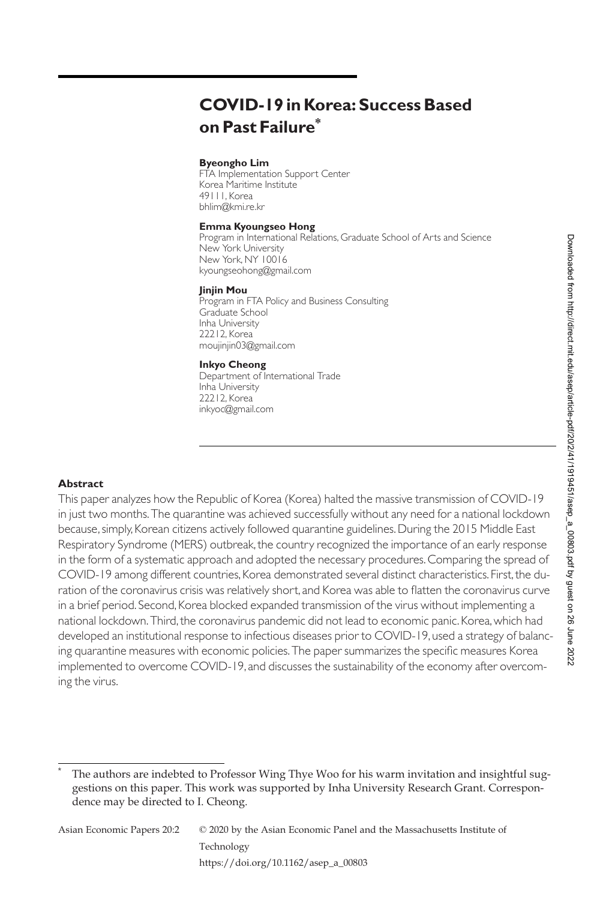# **COVID-19 in Korea: Success Based on Past Failure\***

#### **Byeongho Lim**

FTA Implementation Support Center Korea Maritime Institute 49111, Korea bhlim@kmi.re.kr

#### **Emma Kyoungseo Hong**

Program in International Relations, Graduate School of Arts and Science New York University New York, NY 10016 kyoungseohong@gmail.com

#### **Jinjin Mou**

Program in FTA Policy and Business Consulting Graduate School Inha University 22212, Korea moujinjin03@gmail.com

#### **Inkyo Cheong**

Department of International Trade Inha University 22212, Korea inkyoc@gmail.com

#### **Abstract**

This paper analyzes how the Republic of Korea (Korea) halted the massive transmission of COVID-19 in just two months. The quarantine was achieved successfully without any need for a national lockdown because, simply, Korean citizens actively followed quarantine guidelines. During the 2015 Middle East Respiratory Syndrome (MERS) outbreak, the country recognized the importance of an early response in the form of a systematic approach and adopted the necessary procedures. Comparing the spread of COVID-19 among different countries, Korea demonstrated several distinct characteristics. First, the duration of the coronavirus crisis was relatively short, and Korea was able to flatten the coronavirus curve in a brief period. Second, Korea blocked expanded transmission of the virus without implementing a national lockdown. Third, the coronavirus pandemic did not lead to economic panic. Korea, which had developed an institutional response to infectious diseases prior to COVID-19, used a strategy of balancing quarantine measures with economic policies. The paper summarizes the specific measures Korea implemented to overcome COVID-19, and discusses the sustainability of the economy after overcoming the virus.

The authors are indebted to Professor Wing Thye Woo for his warm invitation and insightful suggestions on this paper. This work was supported by Inha University Research Grant. Correspondence may be directed to I. Cheong.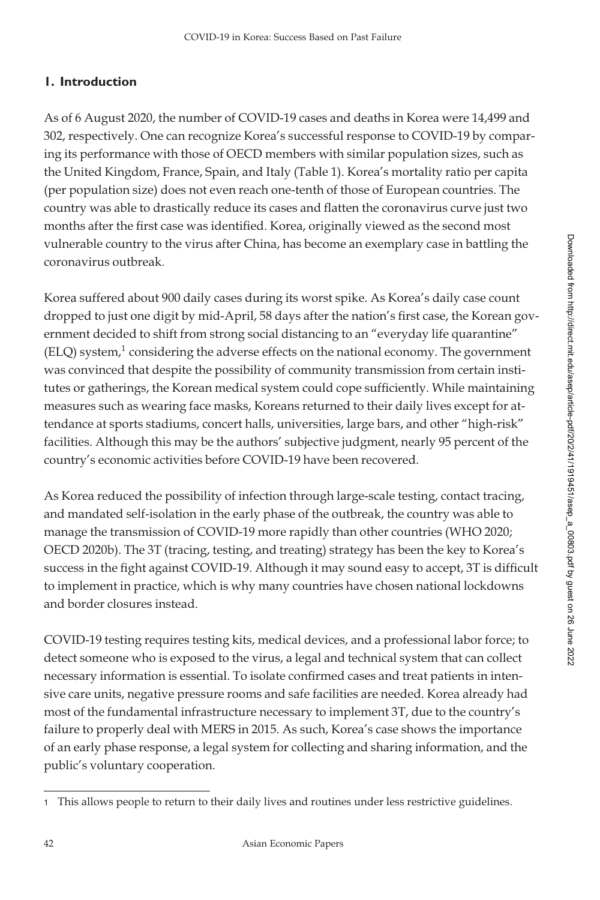# **1. Introduction**

As of 6 August 2020, the number of COVID-19 cases and deaths in Korea were 14,499 and 302, respectively. One can recognize Korea's successful response to COVID-19 by comparing its performance with those of OECD members with similar population sizes, such as the United Kingdom, France, Spain, and Italy (Table 1). Korea's mortality ratio per capita (per population size) does not even reach one-tenth of those of European countries. The country was able to drastically reduce its cases and flatten the coronavirus curve just two months after the first case was identified. Korea, originally viewed as the second most vulnerable country to the virus after China, has become an exemplary case in battling the coronavirus outbreak.

Korea suffered about 900 daily cases during its worst spike. As Korea's daily case count dropped to just one digit by mid-April, 58 days after the nation's first case, the Korean government decided to shift from strong social distancing to an "everyday life quarantine"  $(ELQ)$  system,<sup>1</sup> considering the adverse effects on the national economy. The government was convinced that despite the possibility of community transmission from certain institutes or gatherings, the Korean medical system could cope sufficiently. While maintaining measures such as wearing face masks, Koreans returned to their daily lives except for attendance at sports stadiums, concert halls, universities, large bars, and other "high-risk" facilities. Although this may be the authors' subjective judgment, nearly 95 percent of the country's economic activities before COVID-19 have been recovered.

As Korea reduced the possibility of infection through large-scale testing, contact tracing, and mandated self-isolation in the early phase of the outbreak, the country was able to manage the transmission of COVID-19 more rapidly than other countries (WHO 2020; OECD 2020b). The 3T (tracing, testing, and treating) strategy has been the key to Korea's success in the fight against COVID-19. Although it may sound easy to accept, 3T is difficult to implement in practice, which is why many countries have chosen national lockdowns and border closures instead.

COVID-19 testing requires testing kits, medical devices, and a professional labor force; to detect someone who is exposed to the virus, a legal and technical system that can collect necessary information is essential. To isolate confirmed cases and treat patients in intensive care units, negative pressure rooms and safe facilities are needed. Korea already had most of the fundamental infrastructure necessary to implement 3T, due to the country's failure to properly deal with MERS in 2015. As such, Korea's case shows the importance of an early phase response, a legal system for collecting and sharing information, and the public's voluntary cooperation.

<sup>1</sup> This allows people to return to their daily lives and routines under less restrictive guidelines.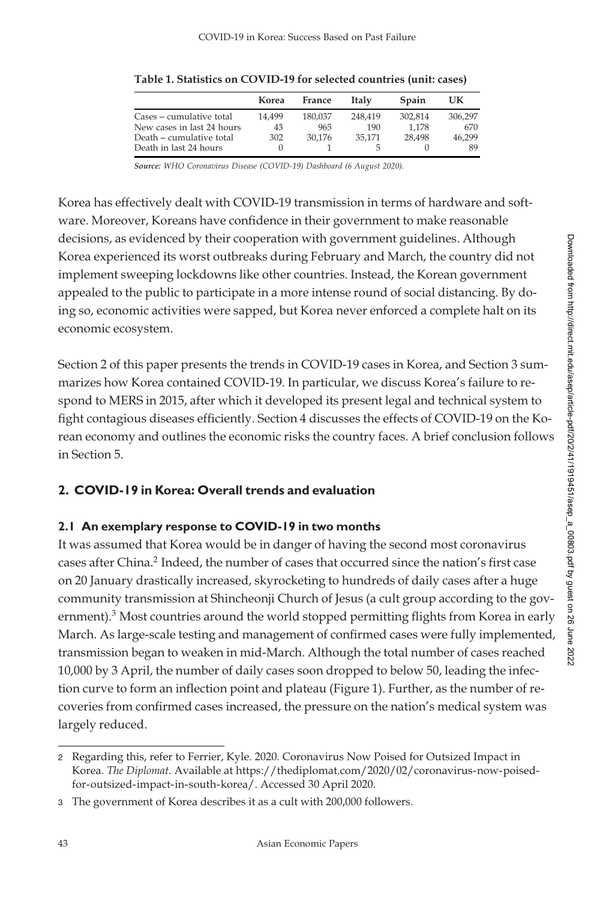|                            | Korea  | France  | Italy   | Spain   | UK      |
|----------------------------|--------|---------|---------|---------|---------|
| Cases – cumulative total   | 14.499 | 180.037 | 248,419 | 302.814 | 306.297 |
| New cases in last 24 hours | 43     | 965     | 190     | 1.178   | 670     |
| Death - cumulative total   | 302    | 30.176  | 35.171  | 28.498  | 46.299  |
| Death in last 24 hours     |        |         | h       |         | 89      |

**Table 1. Statistics on COVID-19 for selected countries (unit: cases)**

*Source: WHO Coronavirus Disease (COVID-19) Dashboard (6 August 2020).*

Korea has effectively dealt with COVID-19 transmission in terms of hardware and software. Moreover, Koreans have confidence in their government to make reasonable decisions, as evidenced by their cooperation with government guidelines. Although Korea experienced its worst outbreaks during February and March, the country did not implement sweeping lockdowns like other countries. Instead, the Korean government appealed to the public to participate in a more intense round of social distancing. By doing so, economic activities were sapped, but Korea never enforced a complete halt on its economic ecosystem.

Section 2 of this paper presents the trends in COVID-19 cases in Korea, and Section 3 summarizes how Korea contained COVID-19. In particular, we discuss Korea's failure to respond to MERS in 2015, after which it developed its present legal and technical system to fight contagious diseases efficiently. Section 4 discusses the effects of COVID-19 on the Korean economy and outlines the economic risks the country faces. A brief conclusion follows in Section 5.

# **2. COVID-19 in Korea: Overall trends and evaluation**

### **2.1 An exemplary response to COVID-19 in two months**

It was assumed that Korea would be in danger of having the second most coronavirus cases after China.<sup>2</sup> Indeed, the number of cases that occurred since the nation's first case on 20 January drastically increased, skyrocketing to hundreds of daily cases after a huge community transmission at Shincheonji Church of Jesus (a cult group according to the government). $3$  Most countries around the world stopped permitting flights from Korea in early March. As large-scale testing and management of confirmed cases were fully implemented, transmission began to weaken in mid-March. Although the total number of cases reached 10,000 by 3 April, the number of daily cases soon dropped to below 50, leading the infection curve to form an inflection point and plateau (Figure 1). Further, as the number of recoveries from confirmed cases increased, the pressure on the nation's medical system was largely reduced.

<sup>2</sup> Regarding this, refer to Ferrier, Kyle. 2020. Coronavirus Now Poised for Outsized Impact in Korea. *The Diplomat*[. Available at https://thediplomat.com/2020/02/coronavirus-now-poised](https://thediplomat.com/2020/02/coronavirus-now-poised-for-outsized-impact-in-south-korea/)for-outsized-impact-in-south-korea/. Accessed 30 April 2020.

<sup>3</sup> The government of Korea describes it as a cult with 200,000 followers.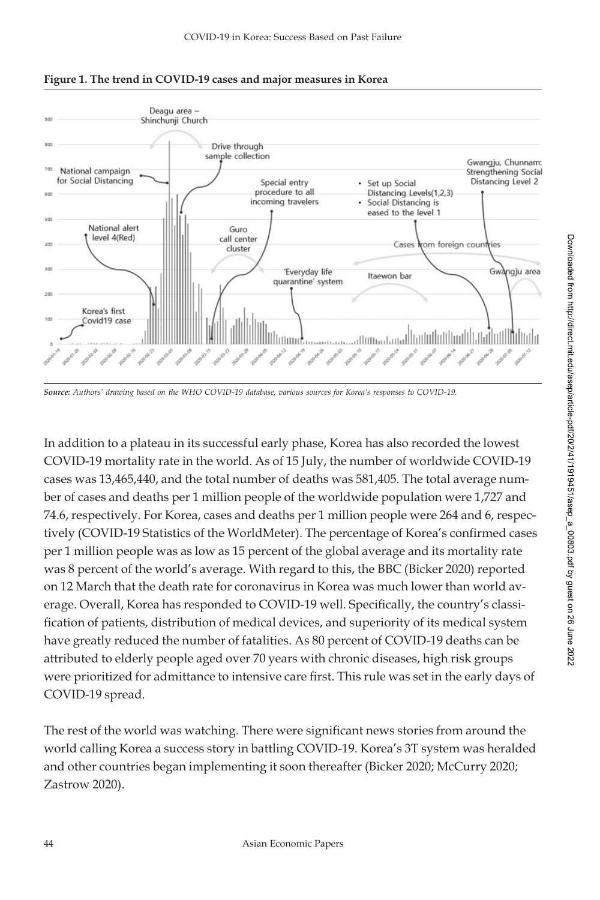

**Figure 1. The trend in COVID-19 cases and major measures in Korea**

*Source: Authors' drawing based on the WHO COVID-19 database, various sources for Korea's responses to COVID-19.*

In addition to a plateau in its successful early phase, Korea has also recorded the lowest COVID-19 mortality rate in the world. As of 15 July, the number of worldwide COVID-19 cases was 13,465,440, and the total number of deaths was 581,405. The total average number of cases and deaths per 1 million people of the worldwide population were 1,727 and 74.6, respectively. For Korea, cases and deaths per 1 million people were 264 and 6, respectively (COVID-19 Statistics of the WorldMeter). The percentage of Korea's confirmed cases per 1 million people was as low as 15 percent of the global average and its mortality rate was 8 percent of the world's average. With regard to this, the BBC (Bicker 2020) reported on 12 March that the death rate for coronavirus in Korea was much lower than world average. Overall, Korea has responded to COVID-19 well. Specifically, the country's classification of patients, distribution of medical devices, and superiority of its medical system have greatly reduced the number of fatalities. As 80 percent of COVID-19 deaths can be attributed to elderly people aged over 70 years with chronic diseases, high risk groups were prioritized for admittance to intensive care first. This rule was set in the early days of COVID-19 spread.

The rest of the world was watching. There were significant news stories from around the world calling Korea a success story in battling COVID-19. Korea's 3T system was heralded and other countries began implementing it soon thereafter (Bicker 2020; McCurry 2020; Zastrow 2020).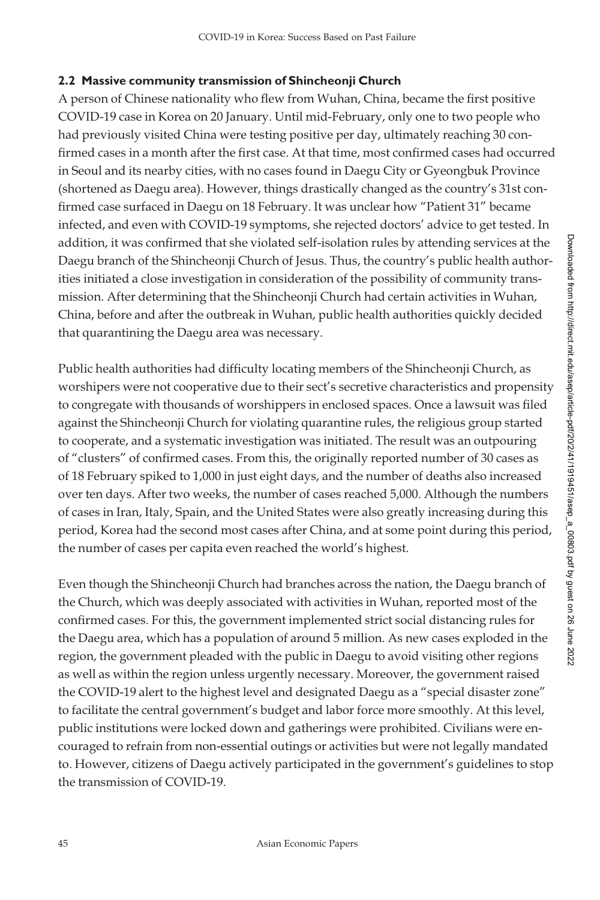### **2.2 Massive community transmission of Shincheonji Church**

A person of Chinese nationality who flew from Wuhan, China, became the first positive COVID-19 case in Korea on 20 January. Until mid-February, only one to two people who had previously visited China were testing positive per day, ultimately reaching 30 confirmed cases in a month after the first case. At that time, most confirmed cases had occurred in Seoul and its nearby cities, with no cases found in Daegu City or Gyeongbuk Province (shortened as Daegu area). However, things drastically changed as the country's 31st confirmed case surfaced in Daegu on 18 February. It was unclear how "Patient 31" became infected, and even with COVID-19 symptoms, she rejected doctors' advice to get tested. In addition, it was confirmed that she violated self-isolation rules by attending services at the Daegu branch of the Shincheonji Church of Jesus. Thus, the country's public health authorities initiated a close investigation in consideration of the possibility of community transmission. After determining that the Shincheonji Church had certain activities in Wuhan, China, before and after the outbreak in Wuhan, public health authorities quickly decided that quarantining the Daegu area was necessary.

Public health authorities had difficulty locating members of the Shincheonji Church, as worshipers were not cooperative due to their sect's secretive characteristics and propensity to congregate with thousands of worshippers in enclosed spaces. Once a lawsuit was filed against the Shincheonji Church for violating quarantine rules, the religious group started to cooperate, and a systematic investigation was initiated. The result was an outpouring of "clusters" of confirmed cases. From this, the originally reported number of 30 cases as of 18 February spiked to 1,000 in just eight days, and the number of deaths also increased over ten days. After two weeks, the number of cases reached 5,000. Although the numbers of cases in Iran, Italy, Spain, and the United States were also greatly increasing during this period, Korea had the second most cases after China, and at some point during this period, the number of cases per capita even reached the world's highest.

Even though the Shincheonji Church had branches across the nation, the Daegu branch of the Church, which was deeply associated with activities in Wuhan, reported most of the confirmed cases. For this, the government implemented strict social distancing rules for the Daegu area, which has a population of around 5 million. As new cases exploded in the region, the government pleaded with the public in Daegu to avoid visiting other regions as well as within the region unless urgently necessary. Moreover, the government raised the COVID-19 alert to the highest level and designated Daegu as a "special disaster zone" to facilitate the central government's budget and labor force more smoothly. At this level, public institutions were locked down and gatherings were prohibited. Civilians were encouraged to refrain from non-essential outings or activities but were not legally mandated to. However, citizens of Daegu actively participated in the government's guidelines to stop the transmission of COVID-19.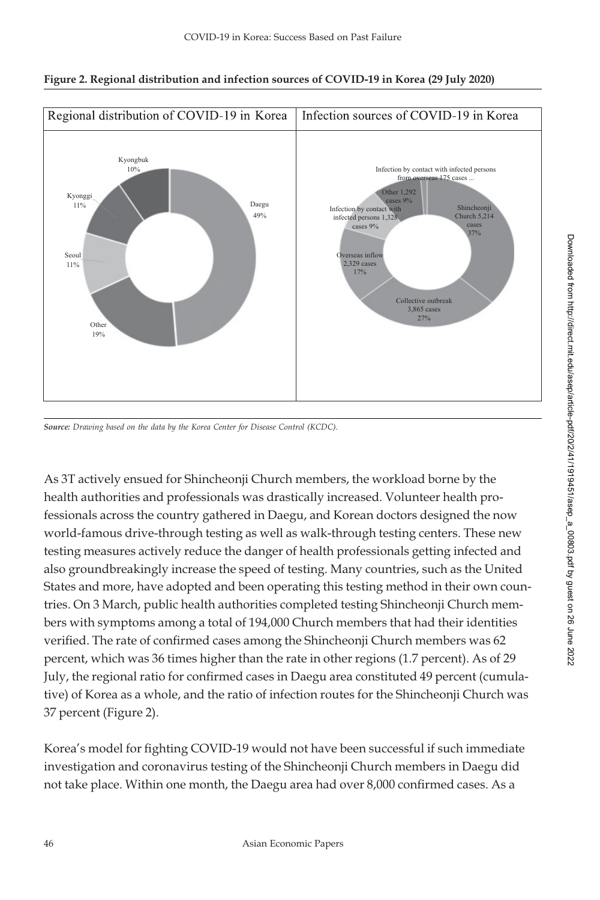

### **Figure 2. Regional distribution and infection sources of COVID-19 in Korea (29 July 2020)**

*Source: Drawing based on the data by the Korea Center for Disease Control (KCDC).*

As 3T actively ensued for Shincheonji Church members, the workload borne by the health authorities and professionals was drastically increased. Volunteer health professionals across the country gathered in Daegu, and Korean doctors designed the now world-famous drive-through testing as well as walk-through testing centers. These new testing measures actively reduce the danger of health professionals getting infected and also groundbreakingly increase the speed of testing. Many countries, such as the United States and more, have adopted and been operating this testing method in their own countries. On 3 March, public health authorities completed testing Shincheonji Church members with symptoms among a total of 194,000 Church members that had their identities verified. The rate of confirmed cases among the Shincheonji Church members was 62 percent, which was 36 times higher than the rate in other regions (1.7 percent). As of 29 July, the regional ratio for confirmed cases in Daegu area constituted 49 percent (cumulative) of Korea as a whole, and the ratio of infection routes for the Shincheonji Church was 37 percent (Figure 2).

Korea's model for fighting COVID-19 would not have been successful if such immediate investigation and coronavirus testing of the Shincheonji Church members in Daegu did not take place. Within one month, the Daegu area had over 8,000 confirmed cases. As a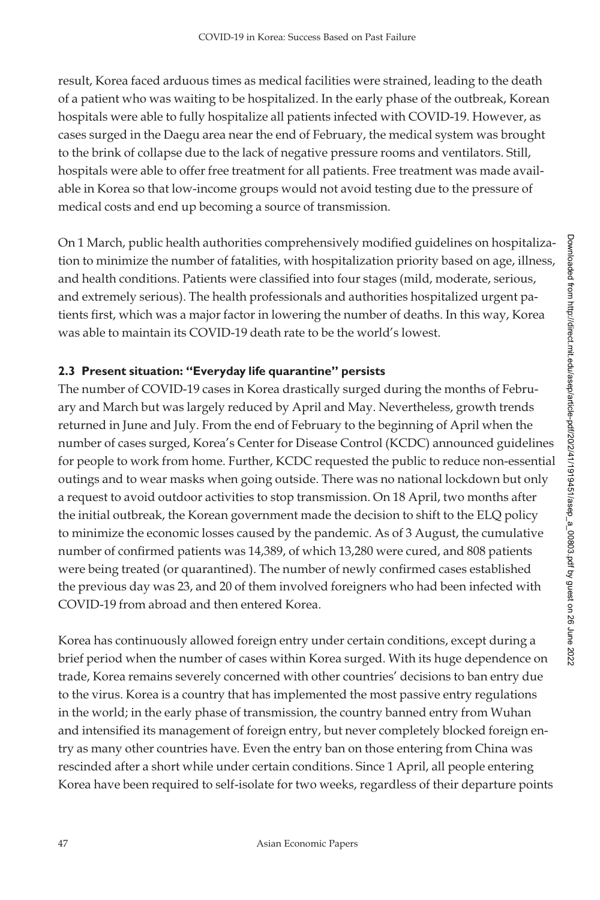result, Korea faced arduous times as medical facilities were strained, leading to the death of a patient who was waiting to be hospitalized. In the early phase of the outbreak, Korean hospitals were able to fully hospitalize all patients infected with COVID-19. However, as cases surged in the Daegu area near the end of February, the medical system was brought to the brink of collapse due to the lack of negative pressure rooms and ventilators. Still, hospitals were able to offer free treatment for all patients. Free treatment was made available in Korea so that low-income groups would not avoid testing due to the pressure of medical costs and end up becoming a source of transmission.

On 1 March, public health authorities comprehensively modified guidelines on hospitalization to minimize the number of fatalities, with hospitalization priority based on age, illness, and health conditions. Patients were classified into four stages (mild, moderate, serious, and extremely serious). The health professionals and authorities hospitalized urgent patients first, which was a major factor in lowering the number of deaths. In this way, Korea was able to maintain its COVID-19 death rate to be the world's lowest.

### **2.3 Present situation: "Everyday life quarantine" persists**

The number of COVID-19 cases in Korea drastically surged during the months of February and March but was largely reduced by April and May. Nevertheless, growth trends returned in June and July. From the end of February to the beginning of April when the number of cases surged, Korea's Center for Disease Control (KCDC) announced guidelines for people to work from home. Further, KCDC requested the public to reduce non-essential outings and to wear masks when going outside. There was no national lockdown but only a request to avoid outdoor activities to stop transmission. On 18 April, two months after the initial outbreak, the Korean government made the decision to shift to the ELQ policy to minimize the economic losses caused by the pandemic. As of 3 August, the cumulative number of confirmed patients was 14,389, of which 13,280 were cured, and 808 patients were being treated (or quarantined). The number of newly confirmed cases established the previous day was 23, and 20 of them involved foreigners who had been infected with COVID-19 from abroad and then entered Korea.

Korea has continuously allowed foreign entry under certain conditions, except during a brief period when the number of cases within Korea surged. With its huge dependence on trade, Korea remains severely concerned with other countries' decisions to ban entry due to the virus. Korea is a country that has implemented the most passive entry regulations in the world; in the early phase of transmission, the country banned entry from Wuhan and intensified its management of foreign entry, but never completely blocked foreign entry as many other countries have. Even the entry ban on those entering from China was rescinded after a short while under certain conditions. Since 1 April, all people entering Korea have been required to self-isolate for two weeks, regardless of their departure points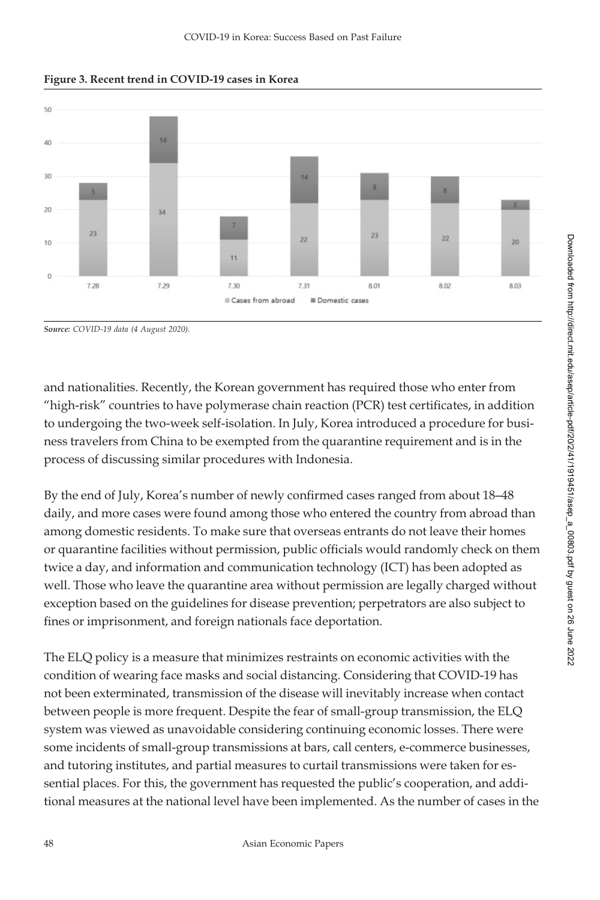



*Source: COVID-19 data (4 August 2020).*

and nationalities. Recently, the Korean government has required those who enter from "high-risk" countries to have polymerase chain reaction (PCR) test certificates, in addition to undergoing the two-week self-isolation. In July, Korea introduced a procedure for business travelers from China to be exempted from the quarantine requirement and is in the process of discussing similar procedures with Indonesia.

By the end of July, Korea's number of newly confirmed cases ranged from about 18–48 daily, and more cases were found among those who entered the country from abroad than among domestic residents. To make sure that overseas entrants do not leave their homes or quarantine facilities without permission, public officials would randomly check on them twice a day, and information and communication technology (ICT) has been adopted as well. Those who leave the quarantine area without permission are legally charged without exception based on the guidelines for disease prevention; perpetrators are also subject to fines or imprisonment, and foreign nationals face deportation.

The ELQ policy is a measure that minimizes restraints on economic activities with the condition of wearing face masks and social distancing. Considering that COVID-19 has not been exterminated, transmission of the disease will inevitably increase when contact between people is more frequent. Despite the fear of small-group transmission, the ELQ system was viewed as unavoidable considering continuing economic losses. There were some incidents of small-group transmissions at bars, call centers, e-commerce businesses, and tutoring institutes, and partial measures to curtail transmissions were taken for essential places. For this, the government has requested the public's cooperation, and additional measures at the national level have been implemented. As the number of cases in the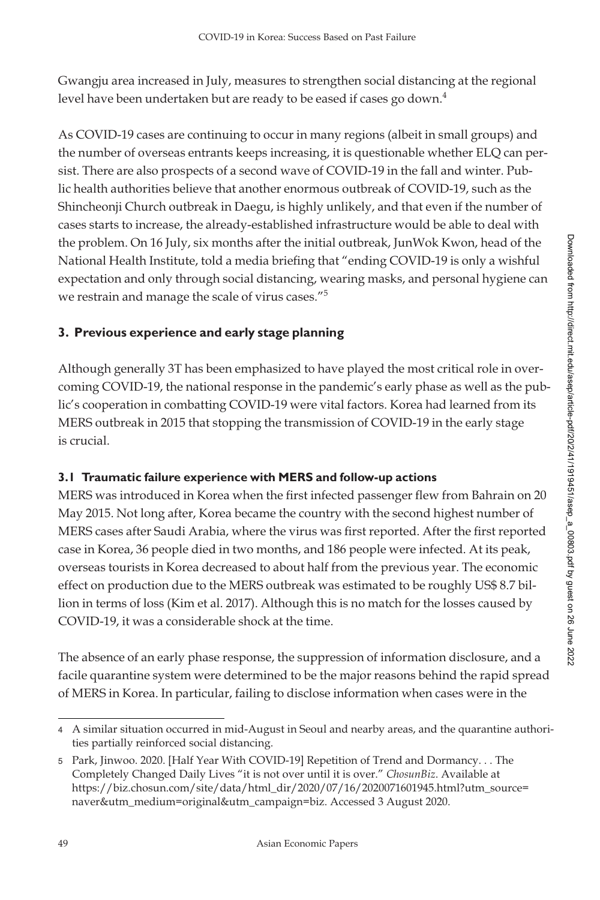Gwangju area increased in July, measures to strengthen social distancing at the regional level have been undertaken but are ready to be eased if cases go down.<sup>4</sup>

As COVID-19 cases are continuing to occur in many regions (albeit in small groups) and the number of overseas entrants keeps increasing, it is questionable whether ELQ can persist. There are also prospects of a second wave of COVID-19 in the fall and winter. Public health authorities believe that another enormous outbreak of COVID-19, such as the Shincheonji Church outbreak in Daegu, is highly unlikely, and that even if the number of cases starts to increase, the already-established infrastructure would be able to deal with the problem. On 16 July, six months after the initial outbreak, JunWok Kwon, head of the National Health Institute, told a media briefing that "ending COVID-19 is only a wishful expectation and only through social distancing, wearing masks, and personal hygiene can we restrain and manage the scale of virus cases."5

# **3. Previous experience and early stage planning**

Although generally 3T has been emphasized to have played the most critical role in overcoming COVID-19, the national response in the pandemic's early phase as well as the public's cooperation in combatting COVID-19 were vital factors. Korea had learned from its MERS outbreak in 2015 that stopping the transmission of COVID-19 in the early stage is crucial.

# **3.1 Traumatic failure experience with MERS and follow-up actions**

MERS was introduced in Korea when the first infected passenger flew from Bahrain on 20 May 2015. Not long after, Korea became the country with the second highest number of MERS cases after Saudi Arabia, where the virus was first reported. After the first reported case in Korea, 36 people died in two months, and 186 people were infected. At its peak, overseas tourists in Korea decreased to about half from the previous year. The economic effect on production due to the MERS outbreak was estimated to be roughly US\$ 8.7 billion in terms of loss (Kim et al. 2017). Although this is no match for the losses caused by COVID-19, it was a considerable shock at the time.

The absence of an early phase response, the suppression of information disclosure, and a facile quarantine system were determined to be the major reasons behind the rapid spread of MERS in Korea. In particular, failing to disclose information when cases were in the

<sup>4</sup> A similar situation occurred in mid-August in Seoul and nearby areas, and the quarantine authorities partially reinforced social distancing.

<sup>5</sup> Park, Jinwoo. 2020. [Half Year With COVID-19] Repetition of Trend and Dormancy. . . The Completely Changed Daily Lives "it is not over until it is over." *ChosunBiz*. Available at [https://biz.chosun.com/site/data/html\\_dir/2020/07/16/2020071601945.html?utm\\_source=](https://biz.chosun.com/site/data/html_dir/2020/07/16/2020071601945.html?utm_source=naver&utm_medium=original&utm_campaign=biz) naver&utm\_medium=original&utm\_campaign=biz. Accessed 3 August 2020.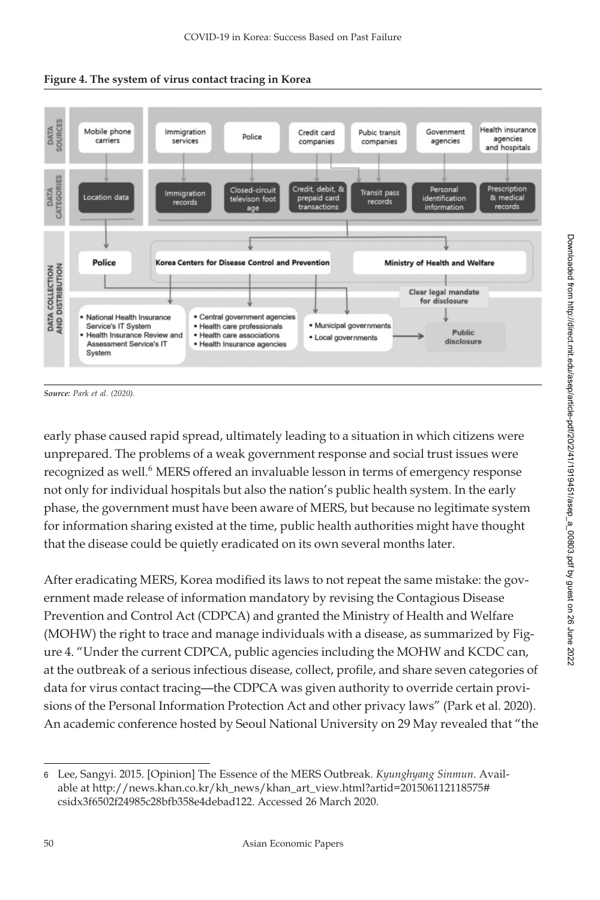



*Source: Park et al. (2020).*

early phase caused rapid spread, ultimately leading to a situation in which citizens were unprepared. The problems of a weak government response and social trust issues were recognized as well.<sup>6</sup> MERS offered an invaluable lesson in terms of emergency response not only for individual hospitals but also the nation's public health system. In the early phase, the government must have been aware of MERS, but because no legitimate system for information sharing existed at the time, public health authorities might have thought that the disease could be quietly eradicated on its own several months later.

After eradicating MERS, Korea modified its laws to not repeat the same mistake: the government made release of information mandatory by revising the Contagious Disease Prevention and Control Act (CDPCA) and granted the Ministry of Health and Welfare (MOHW) the right to trace and manage individuals with a disease, as summarized by Figure 4. "Under the current CDPCA, public agencies including the MOHW and KCDC can, at the outbreak of a serious infectious disease, collect, profile, and share seven categories of data for virus contact tracing—the CDPCA was given authority to override certain provisions of the Personal Information Protection Act and other privacy laws" (Park et al. 2020). An academic conference hosted by Seoul National University on 29 May revealed that "the

<sup>6</sup> Lee, Sangyi. 2015. [Opinion] The Essence of the MERS Outbreak. *Kyunghyang Sinmun*. Avail[able at http://news.khan.co.kr/kh\\_news/khan\\_art\\_view.html?artid=201506112118575#](http://news.khan.co.kr/kh_news/khan_art_view.html?artid=201506112118575#csidx3f6502f24985c28bfb358e4debad122) csidx3f6502f24985c28bfb358e4debad122. Accessed 26 March 2020.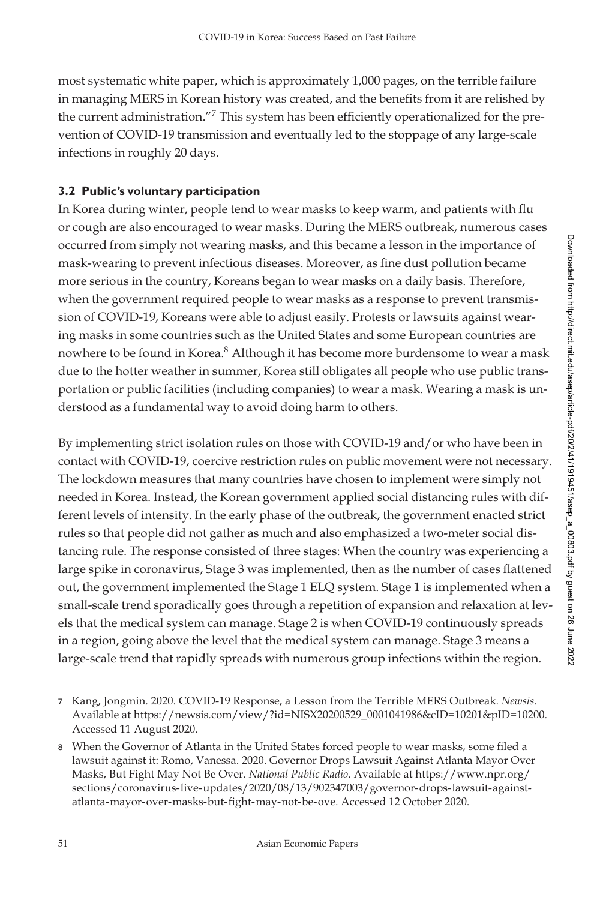most systematic white paper, which is approximately 1,000 pages, on the terrible failure in managing MERS in Korean history was created, and the benefits from it are relished by the current administration."<sup>7</sup> This system has been efficiently operationalized for the prevention of COVID-19 transmission and eventually led to the stoppage of any large-scale infections in roughly 20 days.

### **3.2 Public's voluntary participation**

In Korea during winter, people tend to wear masks to keep warm, and patients with flu or cough are also encouraged to wear masks. During the MERS outbreak, numerous cases occurred from simply not wearing masks, and this became a lesson in the importance of mask-wearing to prevent infectious diseases. Moreover, as fine dust pollution became more serious in the country, Koreans began to wear masks on a daily basis. Therefore, when the government required people to wear masks as a response to prevent transmission of COVID-19, Koreans were able to adjust easily. Protests or lawsuits against wearing masks in some countries such as the United States and some European countries are nowhere to be found in Korea.<sup>8</sup> Although it has become more burdensome to wear a mask due to the hotter weather in summer, Korea still obligates all people who use public transportation or public facilities (including companies) to wear a mask. Wearing a mask is understood as a fundamental way to avoid doing harm to others.

By implementing strict isolation rules on those with COVID-19 and/or who have been in contact with COVID-19, coercive restriction rules on public movement were not necessary. The lockdown measures that many countries have chosen to implement were simply not needed in Korea. Instead, the Korean government applied social distancing rules with different levels of intensity. In the early phase of the outbreak, the government enacted strict rules so that people did not gather as much and also emphasized a two-meter social distancing rule. The response consisted of three stages: When the country was experiencing a large spike in coronavirus, Stage 3 was implemented, then as the number of cases flattened out, the government implemented the Stage 1 ELQ system. Stage 1 is implemented when a small-scale trend sporadically goes through a repetition of expansion and relaxation at levels that the medical system can manage. Stage 2 is when COVID-19 continuously spreads in a region, going above the level that the medical system can manage. Stage 3 means a large-scale trend that rapidly spreads with numerous group infections within the region.

<sup>7</sup> Kang, Jongmin. 2020. COVID-19 Response, a Lesson from the Terrible MERS Outbreak. *Newsis*. Available at [https://newsis.com/view/?id=NISX20200529\\_0001041986&cID=10201&pID=10200.](https://newsis.com/view/?id=NISX20200529_0001041986&cID=10201&pID=10200) Accessed 11 August 2020.

<sup>8</sup> When the Governor of Atlanta in the United States forced people to wear masks, some filed a lawsuit against it: Romo, Vanessa. 2020. Governor Drops Lawsuit Against Atlanta Mayor Over Masks, But Fight May Not Be Over. *National Public Radio*. Available at https://www.npr.org/ [sections/coronavirus-live-updates/2020/08/13/902347003/governor-drops-lawsuit-against](https://www.npr.org/sections/coronavirus-live-updates/2020/08/13/902347003/governor-drops-lawsuit-against-atlanta-mayor-over-masks-but-fight-may-not-be-ove)atlanta-mayor-over-masks-but-fight-may-not-be-ove. Accessed 12 October 2020.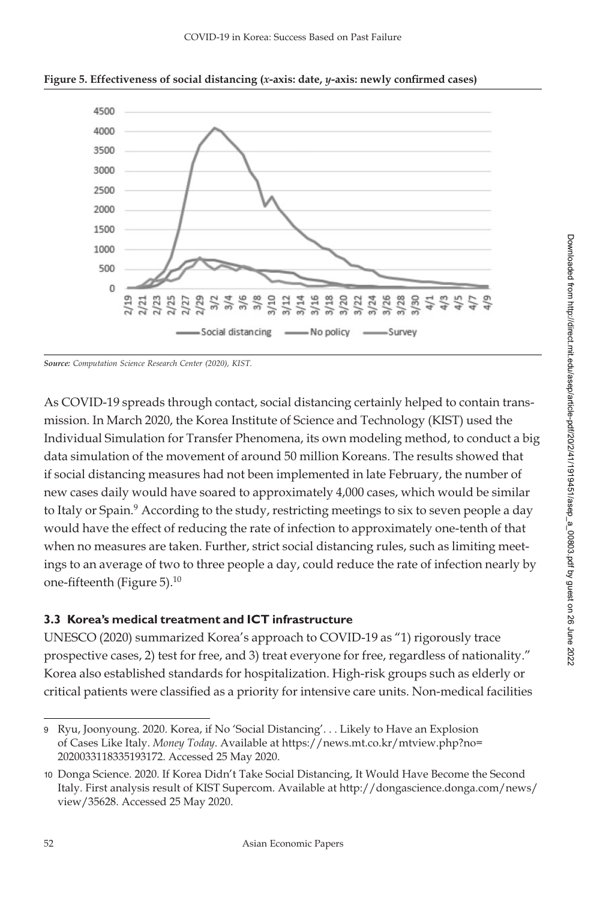

**Figure 5. Effectiveness of social distancing (***x***-axis: date,** *y***-axis: newly confirmed cases)**

*Source: Computation Science Research Center (2020), KIST.*

As COVID-19 spreads through contact, social distancing certainly helped to contain transmission. In March 2020, the Korea Institute of Science and Technology (KIST) used the Individual Simulation for Transfer Phenomena, its own modeling method, to conduct a big data simulation of the movement of around 50 million Koreans. The results showed that if social distancing measures had not been implemented in late February, the number of new cases daily would have soared to approximately 4,000 cases, which would be similar to Italy or Spain.<sup>9</sup> According to the study, restricting meetings to six to seven people a day would have the effect of reducing the rate of infection to approximately one-tenth of that when no measures are taken. Further, strict social distancing rules, such as limiting meetings to an average of two to three people a day, could reduce the rate of infection nearly by one-fifteenth (Figure 5).10

### **3.3 Korea's medical treatment and ICT infrastructure**

UNESCO (2020) summarized Korea's approach to COVID-19 as "1) rigorously trace prospective cases, 2) test for free, and 3) treat everyone for free, regardless of nationality." Korea also established standards for hospitalization. High-risk groups such as elderly or critical patients were classified as a priority for intensive care units. Non-medical facilities

<sup>9</sup> Ryu, Joonyoung. 2020. Korea, if No 'Social Distancing'. . . Likely to Have an Explosion of Cases Like Italy. *Money Today*[. Available at https://news.mt.co.kr/mtview.php?no=](https://news.mt.co.kr/mtview.php?no=2020033118335193172) 2020033118335193172. Accessed 25 May 2020.

<sup>10</sup> Donga Science. 2020. If Korea Didn't Take Social Distancing, It Would Have Become the Second [Italy. First analysis result of KIST Supercom. Available at http://dongascience.donga.com/news/](http://dongascience.donga.com/news/view/35628) view/35628. Accessed 25 May 2020.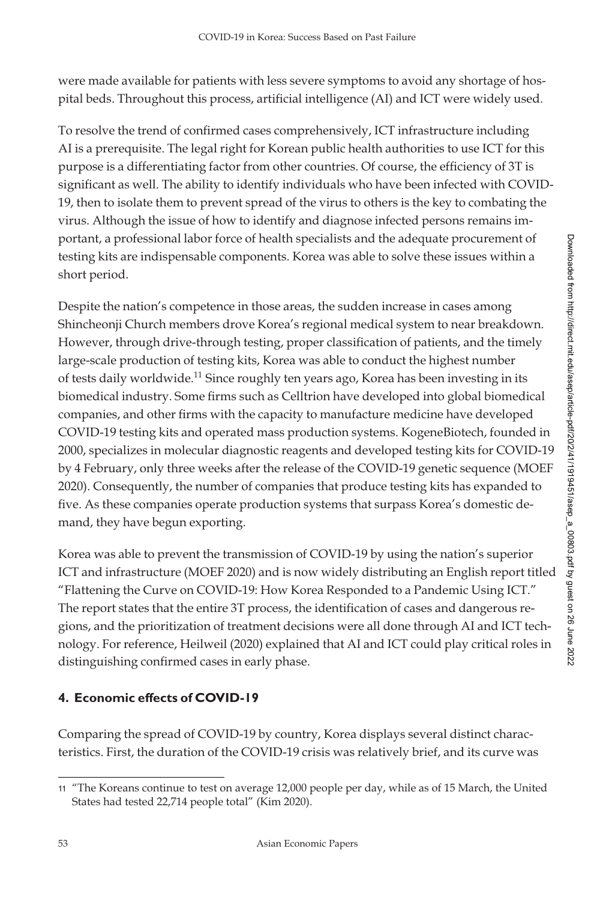were made available for patients with less severe symptoms to avoid any shortage of hospital beds. Throughout this process, artificial intelligence (AI) and ICT were widely used.

To resolve the trend of confirmed cases comprehensively, ICT infrastructure including AI is a prerequisite. The legal right for Korean public health authorities to use ICT for this purpose is a differentiating factor from other countries. Of course, the efficiency of 3T is significant as well. The ability to identify individuals who have been infected with COVID-19, then to isolate them to prevent spread of the virus to others is the key to combating the virus. Although the issue of how to identify and diagnose infected persons remains important, a professional labor force of health specialists and the adequate procurement of testing kits are indispensable components. Korea was able to solve these issues within a short period.

Despite the nation's competence in those areas, the sudden increase in cases among Shincheonji Church members drove Korea's regional medical system to near breakdown. However, through drive-through testing, proper classification of patients, and the timely large-scale production of testing kits, Korea was able to conduct the highest number of tests daily worldwide.<sup>11</sup> Since roughly ten years ago, Korea has been investing in its biomedical industry. Some firms such as Celltrion have developed into global biomedical companies, and other firms with the capacity to manufacture medicine have developed COVID-19 testing kits and operated mass production systems. KogeneBiotech, founded in 2000, specializes in molecular diagnostic reagents and developed testing kits for COVID-19 by 4 February, only three weeks after the release of the COVID-19 genetic sequence (MOEF 2020). Consequently, the number of companies that produce testing kits has expanded to five. As these companies operate production systems that surpass Korea's domestic demand, they have begun exporting.

Korea was able to prevent the transmission of COVID-19 by using the nation's superior ICT and infrastructure (MOEF 2020) and is now widely distributing an English report titled "Flattening the Curve on COVID-19: How Korea Responded to a Pandemic Using ICT." The report states that the entire 3T process, the identification of cases and dangerous regions, and the prioritization of treatment decisions were all done through AI and ICT technology. For reference, Heilweil (2020) explained that AI and ICT could play critical roles in distinguishing confirmed cases in early phase.

# **4. Economic effects of COVID-19**

Comparing the spread of COVID-19 by country, Korea displays several distinct characteristics. First, the duration of the COVID-19 crisis was relatively brief, and its curve was

<sup>11</sup> "The Koreans continue to test on average 12,000 people per day, while as of 15 March, the United States had tested 22,714 people total" (Kim 2020).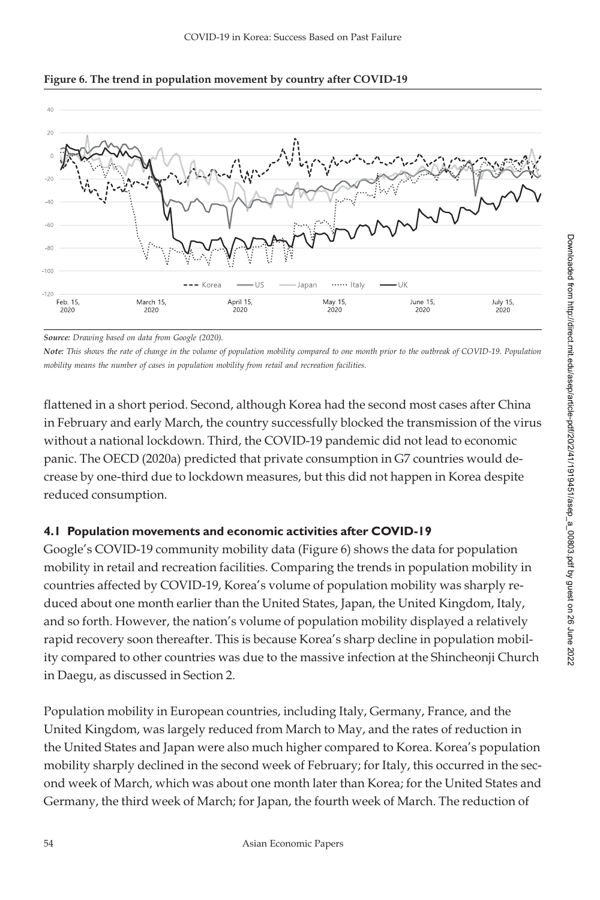

**Figure 6. The trend in population movement by country after COVID-19**

*Note: This shows the rate of change in the volume of population mobility compared to one month prior to the outbreak of COVID-19. Population mobility means the number of cases in population mobility from retail and recreation facilities.*

flattened in a short period. Second, although Korea had the second most cases after China in February and early March, the country successfully blocked the transmission of the virus without a national lockdown. Third, the COVID-19 pandemic did not lead to economic panic. The OECD (2020a) predicted that private consumption in G7 countries would decrease by one-third due to lockdown measures, but this did not happen in Korea despite reduced consumption.

### **4.1 Population movements and economic activities after COVID-19**

Google's COVID-19 community mobility data (Figure 6) shows the data for population mobility in retail and recreation facilities. Comparing the trends in population mobility in countries affected by COVID-19, Korea's volume of population mobility was sharply reduced about one month earlier than the United States, Japan, the United Kingdom, Italy, and so forth. However, the nation's volume of population mobility displayed a relatively rapid recovery soon thereafter. This is because Korea's sharp decline in population mobility compared to other countries was due to the massive infection at the Shincheonji Church in Daegu, as discussed in Section 2.

Population mobility in European countries, including Italy, Germany, France, and the United Kingdom, was largely reduced from March to May, and the rates of reduction in the United States and Japan were also much higher compared to Korea. Korea's population mobility sharply declined in the second week of February; for Italy, this occurred in the second week of March, which was about one month later than Korea; for the United States and Germany, the third week of March; for Japan, the fourth week of March. The reduction of

*Source: Drawing based on data from Google (2020).*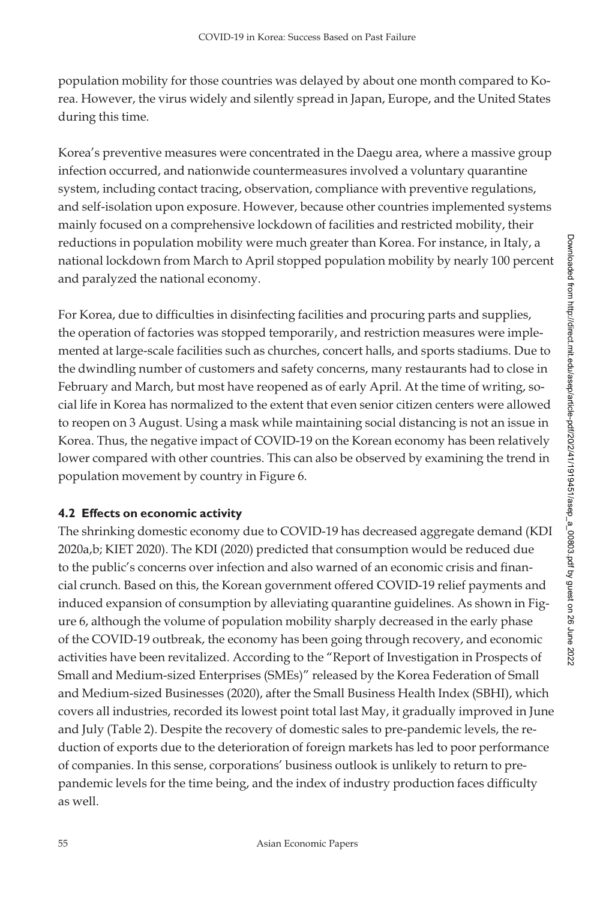population mobility for those countries was delayed by about one month compared to Korea. However, the virus widely and silently spread in Japan, Europe, and the United States during this time.

Korea's preventive measures were concentrated in the Daegu area, where a massive group infection occurred, and nationwide countermeasures involved a voluntary quarantine system, including contact tracing, observation, compliance with preventive regulations, and self-isolation upon exposure. However, because other countries implemented systems mainly focused on a comprehensive lockdown of facilities and restricted mobility, their reductions in population mobility were much greater than Korea. For instance, in Italy, a national lockdown from March to April stopped population mobility by nearly 100 percent and paralyzed the national economy.

For Korea, due to difficulties in disinfecting facilities and procuring parts and supplies, the operation of factories was stopped temporarily, and restriction measures were implemented at large-scale facilities such as churches, concert halls, and sports stadiums. Due to the dwindling number of customers and safety concerns, many restaurants had to close in February and March, but most have reopened as of early April. At the time of writing, social life in Korea has normalized to the extent that even senior citizen centers were allowed to reopen on 3 August. Using a mask while maintaining social distancing is not an issue in Korea. Thus, the negative impact of COVID-19 on the Korean economy has been relatively lower compared with other countries. This can also be observed by examining the trend in population movement by country in Figure 6.

#### **4.2 Effects on economic activity**

The shrinking domestic economy due to COVID-19 has decreased aggregate demand (KDI 2020a,b; KIET 2020). The KDI (2020) predicted that consumption would be reduced due to the public's concerns over infection and also warned of an economic crisis and financial crunch. Based on this, the Korean government offered COVID-19 relief payments and induced expansion of consumption by alleviating quarantine guidelines. As shown in Figure 6, although the volume of population mobility sharply decreased in the early phase of the COVID-19 outbreak, the economy has been going through recovery, and economic activities have been revitalized. According to the "Report of Investigation in Prospects of Small and Medium-sized Enterprises (SMEs)" released by the Korea Federation of Small and Medium-sized Businesses (2020), after the Small Business Health Index (SBHI), which covers all industries, recorded its lowest point total last May, it gradually improved in June and July (Table 2). Despite the recovery of domestic sales to pre-pandemic levels, the reduction of exports due to the deterioration of foreign markets has led to poor performance of companies. In this sense, corporations' business outlook is unlikely to return to prepandemic levels for the time being, and the index of industry production faces difficulty as well.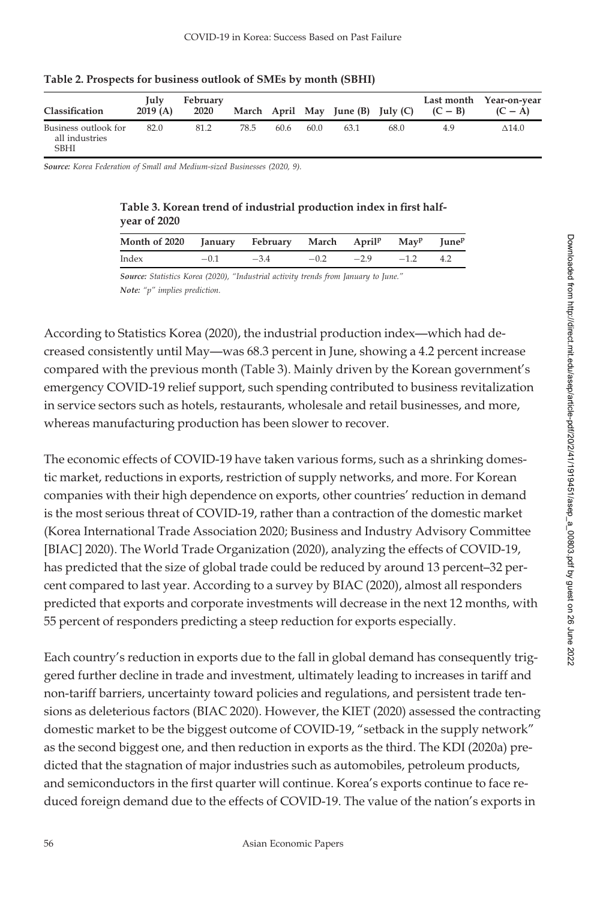| Classification                                        | Iulv<br>2019(A) | February<br>2020 |      |      |      |      |      | March April May June (B) July (C) $(C - B)$ | Last month Year-on-year<br>$(C - A)$ |
|-------------------------------------------------------|-----------------|------------------|------|------|------|------|------|---------------------------------------------|--------------------------------------|
| Business outlook for<br>all industries<br><b>SBHI</b> | 82.0            | 81.2             | 78.5 | 60.6 | 60.0 | 63.1 | 68.0 | 4.9                                         | $\Delta$ 14.0                        |

**Table 2. Prospects for business outlook of SMEs by month (SBHI)**

*Source: Korea Federation of Small and Medium-sized Businesses (2020, 9).*

### **Table 3. Korean trend of industrial production index in first halfyear of 2020**

| Month of 2020 January February March April <sup>p</sup> May <sup>p</sup> June <sup>p</sup> |               |  |                      |     |
|--------------------------------------------------------------------------------------------|---------------|--|----------------------|-----|
| Index                                                                                      | $-0.1$ $-3.4$ |  | $-0.2$ $-2.9$ $-1.2$ | 4.2 |

*Source: Statistics Korea (2020), "Industrial activity trends from January to June." Note: "p" implies prediction.*

According to Statistics Korea (2020), the industrial production index—which had decreased consistently until May—was 68.3 percent in June, showing a 4.2 percent increase compared with the previous month (Table 3). Mainly driven by the Korean government's emergency COVID-19 relief support, such spending contributed to business revitalization in service sectors such as hotels, restaurants, wholesale and retail businesses, and more, whereas manufacturing production has been slower to recover.

The economic effects of COVID-19 have taken various forms, such as a shrinking domestic market, reductions in exports, restriction of supply networks, and more. For Korean companies with their high dependence on exports, other countries' reduction in demand is the most serious threat of COVID-19, rather than a contraction of the domestic market (Korea International Trade Association 2020; Business and Industry Advisory Committee [BIAC] 2020). The World Trade Organization (2020), analyzing the effects of COVID-19, has predicted that the size of global trade could be reduced by around 13 percent–32 percent compared to last year. According to a survey by BIAC (2020), almost all responders predicted that exports and corporate investments will decrease in the next 12 months, with 55 percent of responders predicting a steep reduction for exports especially.

Each country's reduction in exports due to the fall in global demand has consequently triggered further decline in trade and investment, ultimately leading to increases in tariff and non-tariff barriers, uncertainty toward policies and regulations, and persistent trade tensions as deleterious factors (BIAC 2020). However, the KIET (2020) assessed the contracting domestic market to be the biggest outcome of COVID-19, "setback in the supply network" as the second biggest one, and then reduction in exports as the third. The KDI (2020a) predicted that the stagnation of major industries such as automobiles, petroleum products, and semiconductors in the first quarter will continue. Korea's exports continue to face reduced foreign demand due to the effects of COVID-19. The value of the nation's exports in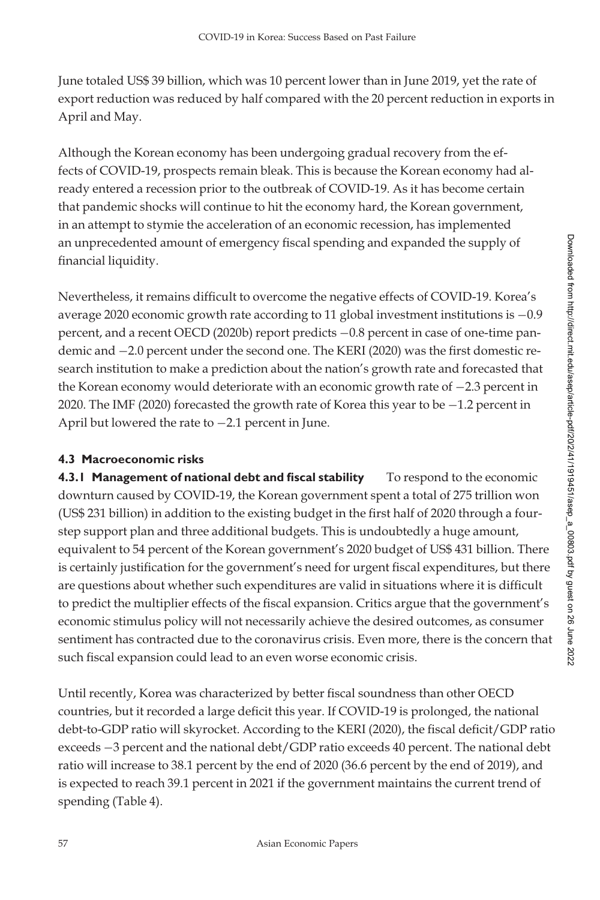June totaled US\$ 39 billion, which was 10 percent lower than in June 2019, yet the rate of export reduction was reduced by half compared with the 20 percent reduction in exports in April and May.

Although the Korean economy has been undergoing gradual recovery from the effects of COVID-19, prospects remain bleak. This is because the Korean economy had already entered a recession prior to the outbreak of COVID-19. As it has become certain that pandemic shocks will continue to hit the economy hard, the Korean government, in an attempt to stymie the acceleration of an economic recession, has implemented an unprecedented amount of emergency fiscal spending and expanded the supply of financial liquidity.

Nevertheless, it remains difficult to overcome the negative effects of COVID-19. Korea's average 2020 economic growth rate according to 11 global investment institutions is −0.9 percent, and a recent OECD (2020b) report predicts -0.8 percent in case of one-time pandemic and −2.0 percent under the second one. The KERI (2020) was the first domestic research institution to make a prediction about the nation's growth rate and forecasted that the Korean economy would deteriorate with an economic growth rate of −2.3 percent in 2020. The IMF (2020) forecasted the growth rate of Korea this year to be −1.2 percent in April but lowered the rate to −2.1 percent in June.

### **4.3 Macroeconomic risks**

**4.3.1 Management of national debt and fiscal stability** To respond to the economic downturn caused by COVID-19, the Korean government spent a total of 275 trillion won (US\$ 231 billion) in addition to the existing budget in the first half of 2020 through a fourstep support plan and three additional budgets. This is undoubtedly a huge amount, equivalent to 54 percent of the Korean government's 2020 budget of US\$ 431 billion. There is certainly justification for the government's need for urgent fiscal expenditures, but there are questions about whether such expenditures are valid in situations where it is difficult to predict the multiplier effects of the fiscal expansion. Critics argue that the government's economic stimulus policy will not necessarily achieve the desired outcomes, as consumer sentiment has contracted due to the coronavirus crisis. Even more, there is the concern that such fiscal expansion could lead to an even worse economic crisis.

Until recently, Korea was characterized by better fiscal soundness than other OECD countries, but it recorded a large deficit this year. If COVID-19 is prolonged, the national debt-to-GDP ratio will skyrocket. According to the KERI (2020), the fiscal deficit/GDP ratio exceeds −3 percent and the national debt/GDP ratio exceeds 40 percent. The national debt ratio will increase to 38.1 percent by the end of 2020 (36.6 percent by the end of 2019), and is expected to reach 39.1 percent in 2021 if the government maintains the current trend of spending (Table 4).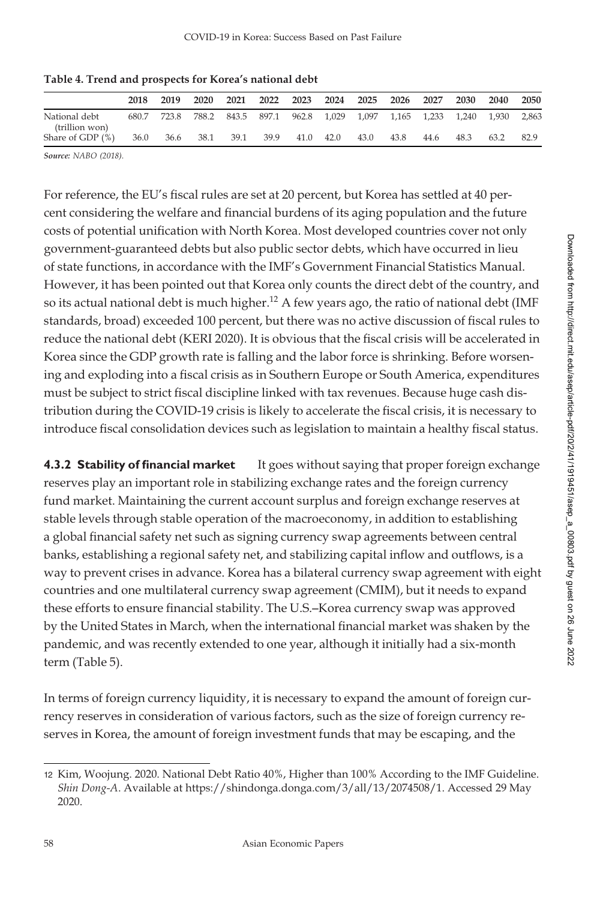|                                 | 2018 | 2019 |           |      |           | 2020 2021 2022 2023 2024 2025 2026 2027                                       |      |      | 2030 | 2040 | 2050 |
|---------------------------------|------|------|-----------|------|-----------|-------------------------------------------------------------------------------|------|------|------|------|------|
| National debt<br>(trillion won) |      |      |           |      |           | 680.7 723.8 788.2 843.5 897.1 962.8 1,029 1,097 1,165 1,233 1,240 1,930 2,863 |      |      |      |      |      |
| Share of GDP (%)                | 36.0 | 36.6 | 38.1 39.1 | 39.9 | 41.0 42.0 | 43.0                                                                          | 43.8 | 44.6 | 48.3 | 63.2 | 82.9 |

**Table 4. Trend and prospects for Korea's national debt**

*Source: NABO (2018).*

For reference, the EU's fiscal rules are set at 20 percent, but Korea has settled at 40 percent considering the welfare and financial burdens of its aging population and the future costs of potential unification with North Korea. Most developed countries cover not only government-guaranteed debts but also public sector debts, which have occurred in lieu of state functions, in accordance with the IMF's Government Financial Statistics Manual. However, it has been pointed out that Korea only counts the direct debt of the country, and so its actual national debt is much higher.<sup>12</sup> A few years ago, the ratio of national debt (IMF standards, broad) exceeded 100 percent, but there was no active discussion of fiscal rules to reduce the national debt (KERI 2020). It is obvious that the fiscal crisis will be accelerated in Korea since the GDP growth rate is falling and the labor force is shrinking. Before worsening and exploding into a fiscal crisis as in Southern Europe or South America, expenditures must be subject to strict fiscal discipline linked with tax revenues. Because huge cash distribution during the COVID-19 crisis is likely to accelerate the fiscal crisis, it is necessary to introduce fiscal consolidation devices such as legislation to maintain a healthy fiscal status.

**4.3.2 Stability of financial market** It goes without saying that proper foreign exchange reserves play an important role in stabilizing exchange rates and the foreign currency fund market. Maintaining the current account surplus and foreign exchange reserves at stable levels through stable operation of the macroeconomy, in addition to establishing a global financial safety net such as signing currency swap agreements between central banks, establishing a regional safety net, and stabilizing capital inflow and outflows, is a way to prevent crises in advance. Korea has a bilateral currency swap agreement with eight countries and one multilateral currency swap agreement (CMIM), but it needs to expand these efforts to ensure financial stability. The U.S.–Korea currency swap was approved by the United States in March, when the international financial market was shaken by the pandemic, and was recently extended to one year, although it initially had a six-month term (Table 5).

In terms of foreign currency liquidity, it is necessary to expand the amount of foreign currency reserves in consideration of various factors, such as the size of foreign currency reserves in Korea, the amount of foreign investment funds that may be escaping, and the

<sup>12</sup> Kim, Woojung. 2020. National Debt Ratio 40%, Higher than 100% According to the IMF Guideline. *Shin Dong-A*. Available at [https://shindonga.donga.com/3/all/13/2074508/1.](https://shindonga.donga.com/3/all/13/2074508/1) Accessed 29 May 2020.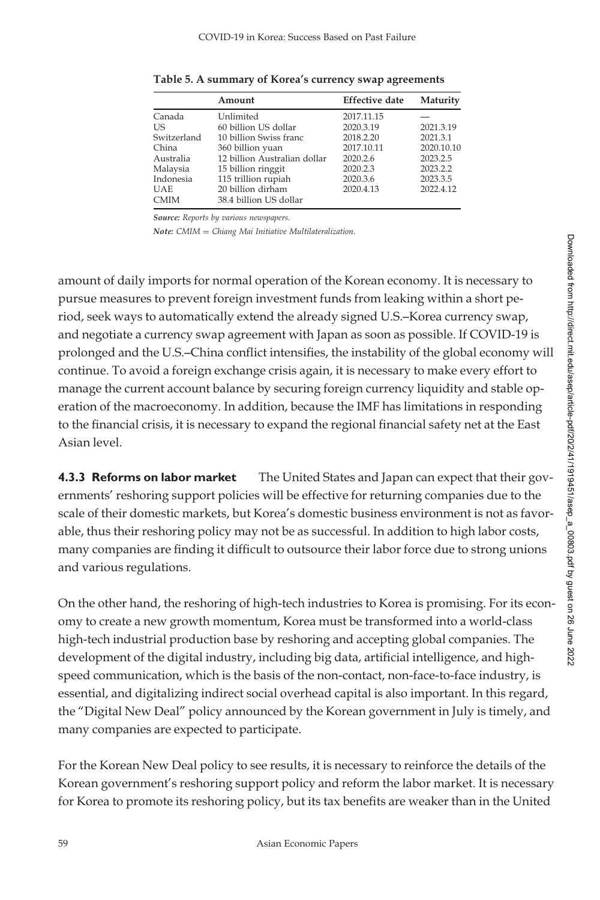|                                                                                           | Amount                                                                                                                                                                                                      | <b>Effective</b> date                                                                               | Maturity                                                                             |
|-------------------------------------------------------------------------------------------|-------------------------------------------------------------------------------------------------------------------------------------------------------------------------------------------------------------|-----------------------------------------------------------------------------------------------------|--------------------------------------------------------------------------------------|
| Canada<br>US<br>Switzerland<br>China<br>Australia<br>Malaysia<br>Indonesia<br>UAE<br>CMIM | Unlimited<br>60 billion US dollar<br>10 billion Swiss franc<br>360 billion yuan<br>12 billion Australian dollar<br>15 billion ringgit<br>115 trillion rupiah<br>20 billion dirham<br>38.4 billion US dollar | 2017.11.15<br>2020.3.19<br>2018.2.20<br>2017.10.11<br>2020.2.6<br>2020.2.3<br>2020.3.6<br>2020.4.13 | 2021.3.19<br>2021.3.1<br>2020.10.10<br>2023.2.5<br>2023.2.2<br>2023.3.5<br>2022.4.12 |

**Table 5. A summary of Korea's currency swap agreements**

*Source: Reports by various newspapers.*

*Note: CMIM* = *Chiang Mai Initiative Multilateralization.*

amount of daily imports for normal operation of the Korean economy. It is necessary to pursue measures to prevent foreign investment funds from leaking within a short period, seek ways to automatically extend the already signed U.S.–Korea currency swap, and negotiate a currency swap agreement with Japan as soon as possible. If COVID-19 is prolonged and the U.S.–China conflict intensifies, the instability of the global economy will continue. To avoid a foreign exchange crisis again, it is necessary to make every effort to manage the current account balance by securing foreign currency liquidity and stable operation of the macroeconomy. In addition, because the IMF has limitations in responding to the financial crisis, it is necessary to expand the regional financial safety net at the East Asian level.

**4.3.3 Reforms on labor market** The United States and Japan can expect that their governments' reshoring support policies will be effective for returning companies due to the scale of their domestic markets, but Korea's domestic business environment is not as favorable, thus their reshoring policy may not be as successful. In addition to high labor costs, many companies are finding it difficult to outsource their labor force due to strong unions and various regulations.

On the other hand, the reshoring of high-tech industries to Korea is promising. For its economy to create a new growth momentum, Korea must be transformed into a world-class high-tech industrial production base by reshoring and accepting global companies. The development of the digital industry, including big data, artificial intelligence, and highspeed communication, which is the basis of the non-contact, non-face-to-face industry, is essential, and digitalizing indirect social overhead capital is also important. In this regard, the "Digital New Deal" policy announced by the Korean government in July is timely, and many companies are expected to participate.

For the Korean New Deal policy to see results, it is necessary to reinforce the details of the Korean government's reshoring support policy and reform the labor market. It is necessary for Korea to promote its reshoring policy, but its tax benefits are weaker than in the United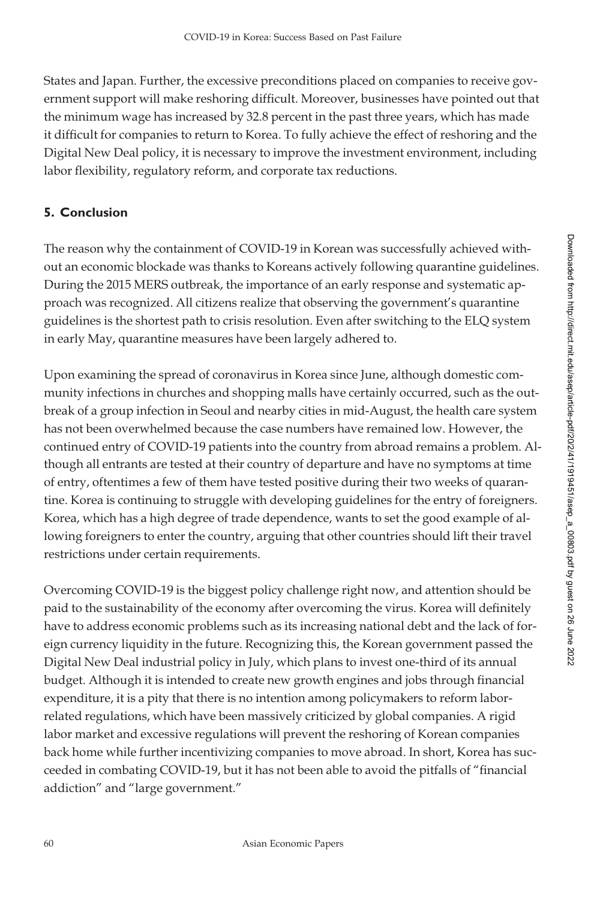States and Japan. Further, the excessive preconditions placed on companies to receive government support will make reshoring difficult. Moreover, businesses have pointed out that the minimum wage has increased by 32.8 percent in the past three years, which has made it difficult for companies to return to Korea. To fully achieve the effect of reshoring and the Digital New Deal policy, it is necessary to improve the investment environment, including labor flexibility, regulatory reform, and corporate tax reductions.

## **5. Conclusion**

The reason why the containment of COVID-19 in Korean was successfully achieved without an economic blockade was thanks to Koreans actively following quarantine guidelines. During the 2015 MERS outbreak, the importance of an early response and systematic approach was recognized. All citizens realize that observing the government's quarantine guidelines is the shortest path to crisis resolution. Even after switching to the ELQ system in early May, quarantine measures have been largely adhered to.

Upon examining the spread of coronavirus in Korea since June, although domestic community infections in churches and shopping malls have certainly occurred, such as the outbreak of a group infection in Seoul and nearby cities in mid-August, the health care system has not been overwhelmed because the case numbers have remained low. However, the continued entry of COVID-19 patients into the country from abroad remains a problem. Although all entrants are tested at their country of departure and have no symptoms at time of entry, oftentimes a few of them have tested positive during their two weeks of quarantine. Korea is continuing to struggle with developing guidelines for the entry of foreigners. Korea, which has a high degree of trade dependence, wants to set the good example of allowing foreigners to enter the country, arguing that other countries should lift their travel restrictions under certain requirements.

Overcoming COVID-19 is the biggest policy challenge right now, and attention should be paid to the sustainability of the economy after overcoming the virus. Korea will definitely have to address economic problems such as its increasing national debt and the lack of foreign currency liquidity in the future. Recognizing this, the Korean government passed the Digital New Deal industrial policy in July, which plans to invest one-third of its annual budget. Although it is intended to create new growth engines and jobs through financial expenditure, it is a pity that there is no intention among policymakers to reform laborrelated regulations, which have been massively criticized by global companies. A rigid labor market and excessive regulations will prevent the reshoring of Korean companies back home while further incentivizing companies to move abroad. In short, Korea has succeeded in combating COVID-19, but it has not been able to avoid the pitfalls of "financial addiction" and "large government."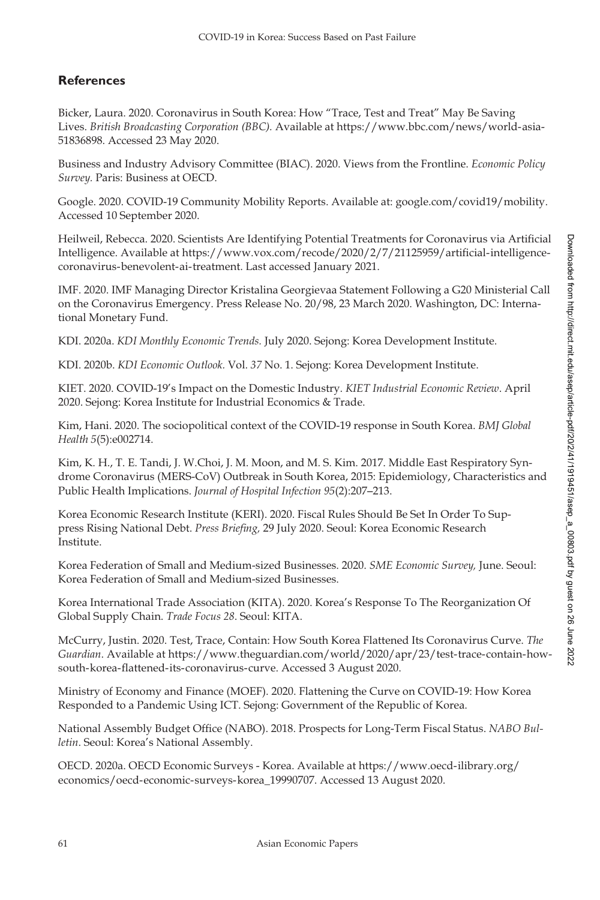# **References**

Bicker, Laura. 2020. Coronavirus in South Korea: How "Trace, Test and Treat" May Be Saving Lives. *British Broadcasting Corporation (BBC).* [Available at https://www.bbc.com/news/world-asia-](https://www.bbc.com/news/world-asia-51836898)51836898. Accessed 23 May 2020.

Business and Industry Advisory Committee (BIAC). 2020. Views from the Frontline. *Economic Policy Survey.* Paris: Business at OECD.

Google. 2020. COVID-19 Community Mobility Reports. Available at: [google.com/covid19/mobility.](https://www.google.com/covid19/mobility) Accessed 10 September 2020.

Heilweil, Rebecca. 2020. Scientists Are Identifying Potential Treatments for Coronavirus via Artificial [Intelligence. Available at https://www.vox.com/recode/2020/2/7/21125959/artificial-intelligence](https://www.vox.com/recode/2020/2/7/21125959/artificial-intelligence-coronavirus-benevolent-ai-treatment)coronavirus-benevolent-ai-treatment. Last accessed January 2021.

IMF. 2020. IMF Managing Director Kristalina Georgievaa Statement Following a G20 Ministerial Call on the Coronavirus Emergency. Press Release No. 20/98, 23 March 2020. Washington, DC: International Monetary Fund.

KDI. 2020a. *KDI Monthly Economic Trends.* July 2020. Sejong: Korea Development Institute.

KDI. 2020b. *KDI Economic Outlook.* Vol. *37* No. 1. Sejong: Korea Development Institute.

KIET. 2020. COVID-19's Impact on the Domestic Industry. *KIET Industrial Economic Review*. April 2020. Sejong: Korea Institute for Industrial Economics & Trade.

Kim, Hani. 2020. The sociopolitical context of the COVID-19 response in South Korea. *BMJ Global Health 5*(5):e002714.

Kim, K. H., T. E. Tandi, J. W.Choi, J. M. Moon, and M. S. Kim. 2017. Middle East Respiratory Syndrome Coronavirus (MERS-CoV) Outbreak in South Korea, 2015: Epidemiology, Characteristics and Public Health Implications. *Journal of Hospital Infection 95*(2):207–213.

Korea Economic Research Institute (KERI). 2020. Fiscal Rules Should Be Set In Order To Suppress Rising National Debt. *Press Briefing,* 29 July 2020. Seoul: Korea Economic Research Institute.

Korea Federation of Small and Medium-sized Businesses. 2020. *SME Economic Survey,* June. Seoul: Korea Federation of Small and Medium-sized Businesses.

Korea International Trade Association (KITA). 2020. Korea's Response To The Reorganization Of Global Supply Chain. *Trade Focus 28*. Seoul: KITA.

McCurry, Justin. 2020. Test, Trace, Contain: How South Korea Flattened Its Coronavirus Curve. *The Guardian*[. Available at https://www.theguardian.com/world/2020/apr/23/test-trace-contain-how](https://www.theguardian.com/world/2020/apr/23/test-trace-contain-how-south-korea-flattened-its-coronavirus-curve)south-korea-flattened-its-coronavirus-curve. Accessed 3 August 2020.

Ministry of Economy and Finance (MOEF). 2020. Flattening the Curve on COVID-19: How Korea Responded to a Pandemic Using ICT. Sejong: Government of the Republic of Korea.

National Assembly Budget Office (NABO). 2018. Prospects for Long-Term Fiscal Status. *NABO Bulletin*. Seoul: Korea's National Assembly.

[OECD. 2020a. OECD Economic Surveys - Korea. Available at https://www.oecd-ilibrary.org/](https://www.oecd-ilibrary.org/economics/oecd-economic-surveys-korea_19990707) economics/oecd-economic-surveys-korea\_19990707. Accessed 13 August 2020.